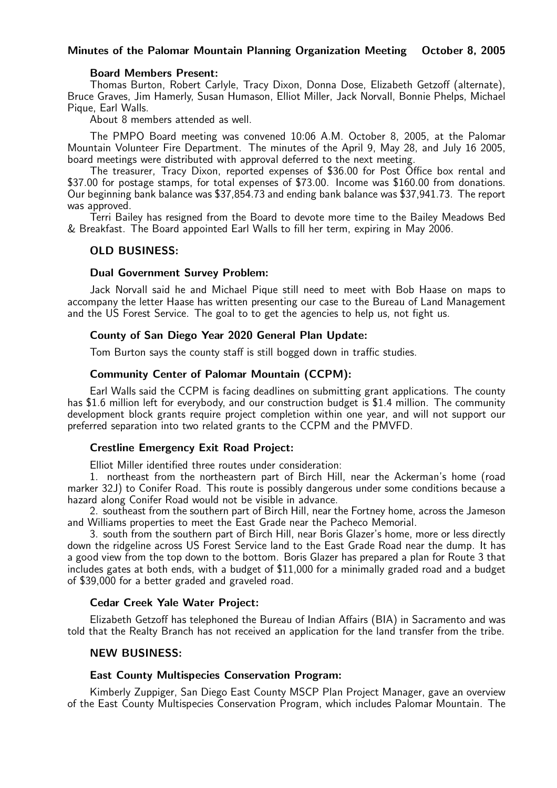#### Minutes of the Palomar Mountain Planning Organization Meeting October 8, 2005

#### Board Members Present:

Thomas Burton, Robert Carlyle, Tracy Dixon, Donna Dose, Elizabeth Getzoff (alternate), Bruce Graves, Jim Hamerly, Susan Humason, Elliot Miller, Jack Norvall, Bonnie Phelps, Michael Pique, Earl Walls.

About 8 members attended as well.

The PMPO Board meeting was convened 10:06 A.M. October 8, 2005, at the Palomar Mountain Volunteer Fire Department. The minutes of the April 9, May 28, and July 16 2005, board meetings were distributed with approval deferred to the next meeting.

The treasurer, Tracy Dixon, reported expenses of \$36.00 for Post Office box rental and \$37.00 for postage stamps, for total expenses of \$73.00. Income was \$160.00 from donations. Our beginning bank balance was \$37,854.73 and ending bank balance was \$37,941.73. The report was approved.

Terri Bailey has resigned from the Board to devote more time to the Bailey Meadows Bed & Breakfast. The Board appointed Earl Walls to fill her term, expiring in May 2006.

### OLD BUSINESS:

### Dual Government Survey Problem:

Jack Norvall said he and Michael Pique still need to meet with Bob Haase on maps to accompany the letter Haase has written presenting our case to the Bureau of Land Management and the US Forest Service. The goal to to get the agencies to help us, not fight us.

# County of San Diego Year 2020 General Plan Update:

Tom Burton says the county staff is still bogged down in traffic studies.

# Community Center of Palomar Mountain (CCPM):

Earl Walls said the CCPM is facing deadlines on submitting grant applications. The county has \$1.6 million left for everybody, and our construction budget is \$1.4 million. The community development block grants require project completion within one year, and will not support our preferred separation into two related grants to the CCPM and the PMVFD.

# Crestline Emergency Exit Road Project:

Elliot Miller identified three routes under consideration:

1. northeast from the northeastern part of Birch Hill, near the Ackerman's home (road marker 32J) to Conifer Road. This route is possibly dangerous under some conditions because a hazard along Conifer Road would not be visible in advance.

2. southeast from the southern part of Birch Hill, near the Fortney home, across the Jameson and Williams properties to meet the East Grade near the Pacheco Memorial.

3. south from the southern part of Birch Hill, near Boris Glazer's home, more or less directly down the ridgeline across US Forest Service land to the East Grade Road near the dump. It has a good view from the top down to the bottom. Boris Glazer has prepared a plan for Route 3 that includes gates at both ends, with a budget of \$11,000 for a minimally graded road and a budget of \$39,000 for a better graded and graveled road.

# Cedar Creek Yale Water Project:

Elizabeth Getzoff has telephoned the Bureau of Indian Affairs (BIA) in Sacramento and was told that the Realty Branch has not received an application for the land transfer from the tribe.

#### NEW BUSINESS:

# East County Multispecies Conservation Program:

Kimberly Zuppiger, San Diego East County MSCP Plan Project Manager, gave an overview of the East County Multispecies Conservation Program, which includes Palomar Mountain. The